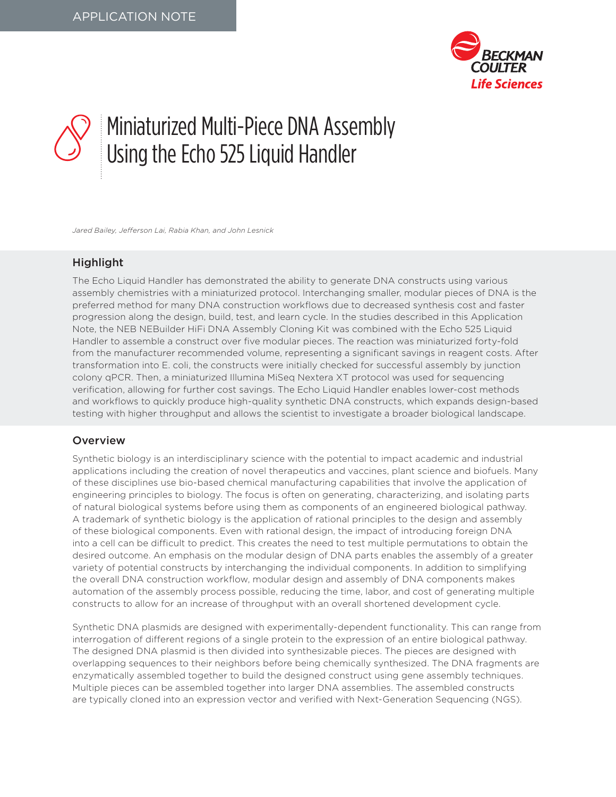

# Miniaturized Multi-Piece DNA Assembly Using the Echo 525 Liquid Handler

*Jared Bailey, Jefferson Lai, Rabia Khan, and John Lesnick*

## Highlight

The Echo Liquid Handler has demonstrated the ability to generate DNA constructs using various assembly chemistries with a miniaturized protocol. Interchanging smaller, modular pieces of DNA is the preferred method for many DNA construction workflows due to decreased synthesis cost and faster progression along the design, build, test, and learn cycle. In the studies described in this Application Note, the NEB NEBuilder HiFi DNA Assembly Cloning Kit was combined with the Echo 525 Liquid Handler to assemble a construct over five modular pieces. The reaction was miniaturized forty-fold from the manufacturer recommended volume, representing a significant savings in reagent costs. After transformation into E. coli, the constructs were initially checked for successful assembly by junction colony qPCR. Then, a miniaturized Illumina MiSeq Nextera XT protocol was used for sequencing verification, allowing for further cost savings. The Echo Liquid Handler enables lower-cost methods and workflows to quickly produce high-quality synthetic DNA constructs, which expands design-based testing with higher throughput and allows the scientist to investigate a broader biological landscape.

### Overview

Synthetic biology is an interdisciplinary science with the potential to impact academic and industrial applications including the creation of novel therapeutics and vaccines, plant science and biofuels. Many of these disciplines use bio-based chemical manufacturing capabilities that involve the application of engineering principles to biology. The focus is often on generating, characterizing, and isolating parts of natural biological systems before using them as components of an engineered biological pathway. A trademark of synthetic biology is the application of rational principles to the design and assembly of these biological components. Even with rational design, the impact of introducing foreign DNA into a cell can be difficult to predict. This creates the need to test multiple permutations to obtain the desired outcome. An emphasis on the modular design of DNA parts enables the assembly of a greater variety of potential constructs by interchanging the individual components. In addition to simplifying the overall DNA construction workflow, modular design and assembly of DNA components makes automation of the assembly process possible, reducing the time, labor, and cost of generating multiple constructs to allow for an increase of throughput with an overall shortened development cycle.

Synthetic DNA plasmids are designed with experimentally-dependent functionality. This can range from interrogation of different regions of a single protein to the expression of an entire biological pathway. The designed DNA plasmid is then divided into synthesizable pieces. The pieces are designed with overlapping sequences to their neighbors before being chemically synthesized. The DNA fragments are enzymatically assembled together to build the designed construct using gene assembly techniques. Multiple pieces can be assembled together into larger DNA assemblies. The assembled constructs are typically cloned into an expression vector and verified with Next-Generation Sequencing (NGS).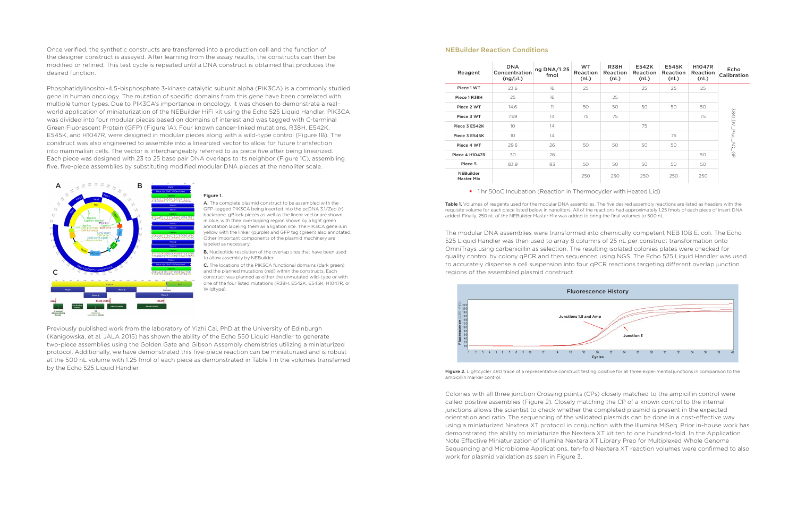Once verified, the synthetic constructs are transferred into a production cell and the function of the designer construct is assayed. After learning from the assay results, the constructs can then be modified or refined. This test cycle is repeated until a DNA construct is obtained that produces the desired function.

Phosphatidylinositol-4,5-bisphosphate 3-kinase catalytic subunit alpha (PIK3CA) is a commonly studied gene in human oncology. The mutation of specific domains from this gene have been correlated with multiple tumor types. Due to PIK3CA's importance in oncology, it was chosen to demonstrate a realworld application of miniaturization of the NEBuilder HiFi kit using the Echo 525 Liquid Handler. PIK3CA was divided into four modular pieces based on domains of interest and was tagged with C-terminal Green Fluorescent Protein (GFP) (Figure 1A). Four known cancer-linked mutations, R38H, E542K, E545K, and H1047R, were designed in modular pieces along with a wild-type control (Figure 1B). The construct was also engineered to assemble into a linearized vector to allow for future transfection into mammalian cells. The vector is interchangeably referred to as piece five after being linearized. Each piece was designed with 23 to 25 base pair DNA overlaps to its neighbor (Figure 1C), assembling five, five-piece assemblies by substituting modified modular DNA pieces at the nanoliter scale.

> **B.** Nucleotide resolution of the overlap sites that have been used to allow assembly by NEBuilder.

#### Figure 1.

Table 1. Volumes of reagents used for the modular DNA assemblies. The five desired assembly reactions are listed as headers with the requisite volume for each piece listed below in nanoliters. All of the reactions had approximately 1.25 fmols of each piece of insert DNA added. Finally, 250 nL of the NEBuilder Master Mix was added to bring the final volumes to 500 nL.

A. The complete plasmid construct to be assembled with the GFP-tagged PIK3CA being inserted into the pcDNA 3.1/Zeo (+) backbone. gBlock pieces as well as the linear vector are shown in blue, with their overlapping region shown by a light green annotation labeling them as a ligation site. The PIK3CA gene is in yellow with the linker (purple) and GFP tag (green) also annotated. Other important components of the plasmid machinery are labeled as necessary.

C. The locations of the PIK3CA functional domains (dark green) and the planned mutations (red) within the constructs. Each construct was planned as either the unmutated wild-type or with one of the four listed mutations (R38H, E542K, E545K, H1047R, or Wildtype).

Previously published work from the laboratory of Yizhi Cai, PhD at the University of Edinburgh (Kanigowska, et al. JALA 2015) has shown the ability of the Echo 550 Liquid Handler to generate two-piece assemblies using the Golden Gate and Gibson Assembly chemistries utilizing a miniaturized protocol. Additionally, we have demonstrated this five-piece reaction can be miniaturized and is robust at the 500 nL volume with 1.25 fmol of each piece as demonstrated in Table 1 in the volumes transferred by the Echo 525 Liquid Handler.



#### NEBuilder Reaction Conditions

The modular DNA assemblies were transformed into chemically competent NEB 10B E. coli. The Echo 525 Liquid Handler was then used to array 8 columns of 25 nL per construct transformation onto OmniTrays using carbenicillin as selection. The resulting isolated colonies plates were checked for quality control by colony qPCR and then sequenced using NGS. The Echo 525 Liquid Handler was used to accurately dispense a cell suspension into four qPCR reactions targeting different overlap junction regions of the assembled plasmid construct.

Colonies with all three junction Crossing points (CPs) closely matched to the ampicillin control were called positive assemblies (Figure 2). Closely matching the CP of a known control to the internal junctions allows the scientist to check whether the completed plasmid is present in the expected orientation and ratio. The sequencing of the validated plasmids can be done in a cost-effective way using a miniaturized Nextera XT protocol in conjunction with the Illumina MiSeq. Prior in-house work has demonstrated the ability to miniaturize the Nextera XT kit ten to one hundred-fold. In the Application Note Effective Miniaturization of Illumina Nextera XT Library Prep for Multiplexed Whole Genome Sequencing and Microbiome Applications, ten-fold Nextera XT reaction volumes were confirmed to also work for plasmid validation as seen in Figure 3.

Figure 2. Lightcycler 480 trace of a representative construct testing positive for all three experimental junctions in comparison to the



ampicillin marker control.

| Reagent                               | <b>DNA</b><br>Concentration<br>$(ng/\mu L)$ | ng DNA/1.25<br>fmol | <b>WT</b><br>Reaction<br>(nL) | <b>R38H</b><br>Reaction<br>(nL) | <b>E542K</b><br>Reaction<br>(nL) | <b>E545K</b><br>Reaction<br>(nL) | <b>H1047R</b><br>Reaction<br>(nL) | Echo<br>Calibration          |
|---------------------------------------|---------------------------------------------|---------------------|-------------------------------|---------------------------------|----------------------------------|----------------------------------|-----------------------------------|------------------------------|
| Piece 1 WT                            | 23.6                                        | 16                  | 25                            |                                 | 25                               | 25                               | 25                                | 394LDV_Plus<br>√Q_<br>e<br>G |
| Piece 1 R38H                          | 25                                          | 16                  |                               | 25                              |                                  |                                  |                                   |                              |
| Piece 2 WT                            | 14.6                                        | 11                  | 50                            | 50                              | 50                               | 50                               | 50                                |                              |
| Piece 3 WT                            | 7.69                                        | 14                  | 75                            | 75                              |                                  |                                  | 75                                |                              |
| Piece 3 E542K                         | 10                                          | 14                  |                               |                                 | 75                               |                                  |                                   |                              |
| Piece 3 E545K                         | 10                                          | 14                  |                               |                                 |                                  | 75                               |                                   |                              |
| Piece 4 WT                            | 29.6                                        | 26                  | 50                            | 50                              | 50                               | 50                               |                                   |                              |
| <b>Piece 4 H1047R</b>                 | 30                                          | 26                  |                               |                                 |                                  |                                  | 50                                |                              |
| Piece 5                               | 83.9                                        | 83                  | 50                            | 50                              | 50                               | 50                               | 50                                |                              |
| <b>NEBuilder</b><br><b>Master Mix</b> |                                             |                     | 250                           | 250                             | 250                              | 250                              | 250                               |                              |

• 1 hr 50oC Incubation (Reaction in Thermocycler with Heated Lid)